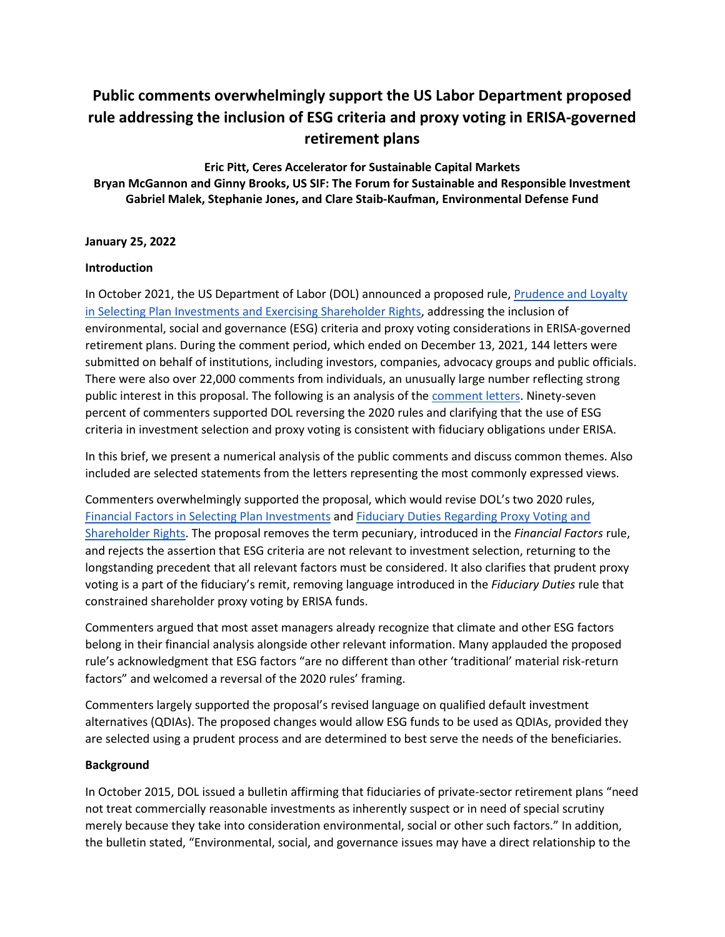# **Public comments overwhelmingly support the US Labor Department proposed rule addressing the inclusion of ESG criteria and proxy voting in ERISA-governed retirement plans**

**Eric Pitt, Ceres Accelerator for Sustainable Capital Markets Bryan McGannon and Ginny Brooks, US SIF: The Forum for Sustainable and Responsible Investment Gabriel Malek, Stephanie Jones, and Clare Staib-Kaufman, Environmental Defense Fund**

## **January 25, 2022**

#### **Introduction**

In October 2021, the US Department of Labor (DOL) announced a proposed rule, [Prudence and Loyalty](https://www.federalregister.gov/documents/2021/10/14/2021-22263/prudence-and-loyalty-in-selecting-plan-investments-and-exercising-shareholder-rights)  [in Selecting Plan Investments and Exercising Shareholder Rights,](https://www.federalregister.gov/documents/2021/10/14/2021-22263/prudence-and-loyalty-in-selecting-plan-investments-and-exercising-shareholder-rights) addressing the inclusion of environmental, social and governance (ESG) criteria and proxy voting considerations in ERISA-governed retirement plans. During the comment period, which ended on December 13, 2021, 144 letters were submitted on behalf of institutions, including investors, companies, advocacy groups and public officials. There were also over 22,000 comments from individuals, an unusually large number reflecting strong public interest in this proposal. The following is an analysis of the [comment letters.](https://www.dol.gov/agencies/ebsa/laws-and-regulations/rules-and-regulations/public-comments/1210-AC03) Ninety-seven percent of commenters supported DOL reversing the 2020 rules and clarifying that the use of ESG criteria in investment selection and proxy voting is consistent with fiduciary obligations under ERISA.

In this brief, we present a numerical analysis of the public comments and discuss common themes. Also included are selected statements from the letters representing the most commonly expressed views.

Commenters overwhelmingly supported the proposal, which would revise DOL's two 2020 rules, [Financial Factors in Selecting](https://www.federalregister.gov/documents/2020/11/13/2020-24515/financial-factors-in-selecting-plan-investments) Plan Investments and [Fiduciary Duties Regarding Proxy Voting and](https://www.federalregister.gov/documents/2020/12/16/2020-27465/fiduciary-duties-regarding-proxy-voting-and-shareholder-rights)  [Shareholder Rights.](https://www.federalregister.gov/documents/2020/12/16/2020-27465/fiduciary-duties-regarding-proxy-voting-and-shareholder-rights) The proposal removes the term pecuniary, introduced in the *Financial Factors* rule, and rejects the assertion that ESG criteria are not relevant to investment selection, returning to the longstanding precedent that all relevant factors must be considered. It also clarifies that prudent proxy voting is a part of the fiduciary's remit, removing language introduced in the *Fiduciary Duties* rule that constrained shareholder proxy voting by ERISA funds.

Commenters argued that most asset managers already recognize that climate and other ESG factors belong in their financial analysis alongside other relevant information. Many applauded the proposed rule's acknowledgment that ESG factors "are no different than other 'traditional' material risk-return factors" and welcomed a reversal of the 2020 rules' framing.

Commenters largely supported the proposal's revised language on qualified default investment alternatives (QDIAs). The proposed changes would allow ESG funds to be used as QDIAs, provided they are selected using a prudent process and are determined to best serve the needs of the beneficiaries.

## **Background**

In October 2015, DOL issued a bulletin affirming that fiduciaries of private-sector retirement plans "need not treat commercially reasonable investments as inherently suspect or in need of special scrutiny merely because they take into consideration environmental, social or other such factors." In addition, the bulletin stated, "Environmental, social, and governance issues may have a direct relationship to the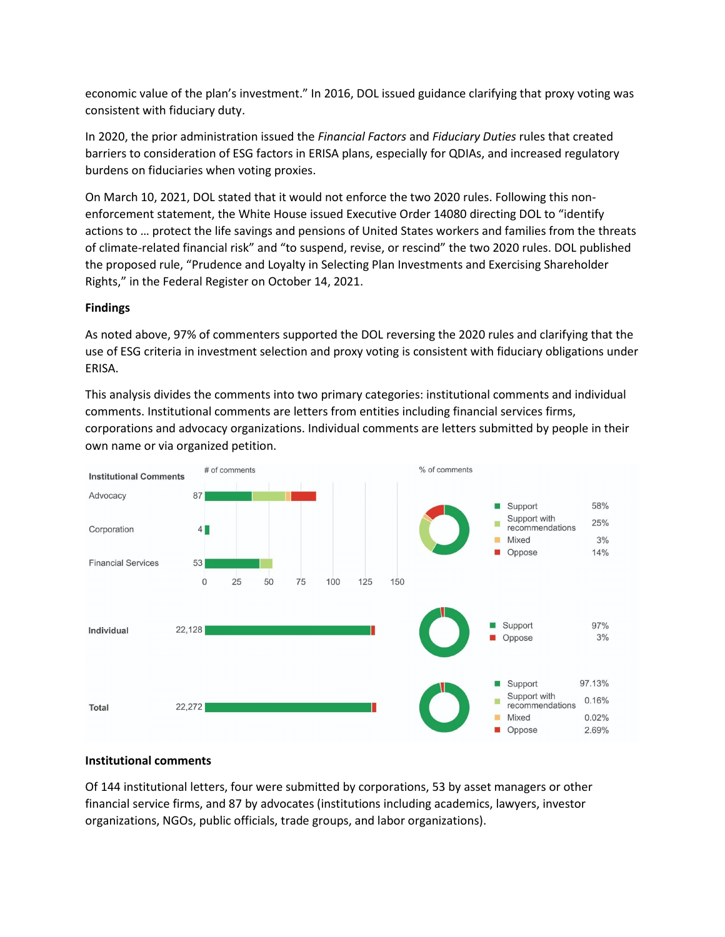economic value of the plan's investment." In 2016, DOL issued guidance clarifying that proxy voting was consistent with fiduciary duty.

In 2020, the prior administration issued the *Financial Factors* and *Fiduciary Duties* rules that created barriers to consideration of ESG factors in ERISA plans, especially for QDIAs, and increased regulatory burdens on fiduciaries when voting proxies.

On March 10, 2021, DOL stated that it would not enforce the two 2020 rules. Following this nonenforcement statement, the White House issued Executive Order 14080 directing DOL to "identify actions to … protect the life savings and pensions of United States workers and families from the threats of climate-related financial risk" and "to suspend, revise, or rescind" the two 2020 rules. DOL published the proposed rule, "Prudence and Loyalty in Selecting Plan Investments and Exercising Shareholder Rights," in the Federal Register on October 14, 2021.

# **Findings**

As noted above, 97% of commenters supported the DOL reversing the 2020 rules and clarifying that the use of ESG criteria in investment selection and proxy voting is consistent with fiduciary obligations under ERISA.

This analysis divides the comments into two primary categories: institutional comments and individual comments. Institutional comments are letters from entities including financial services firms, corporations and advocacy organizations. Individual comments are letters submitted by people in their own name or via organized petition.



## **Institutional comments**

Of 144 institutional letters, four were submitted by corporations, 53 by asset managers or other financial service firms, and 87 by advocates (institutions including academics, lawyers, investor organizations, NGOs, public officials, trade groups, and labor organizations).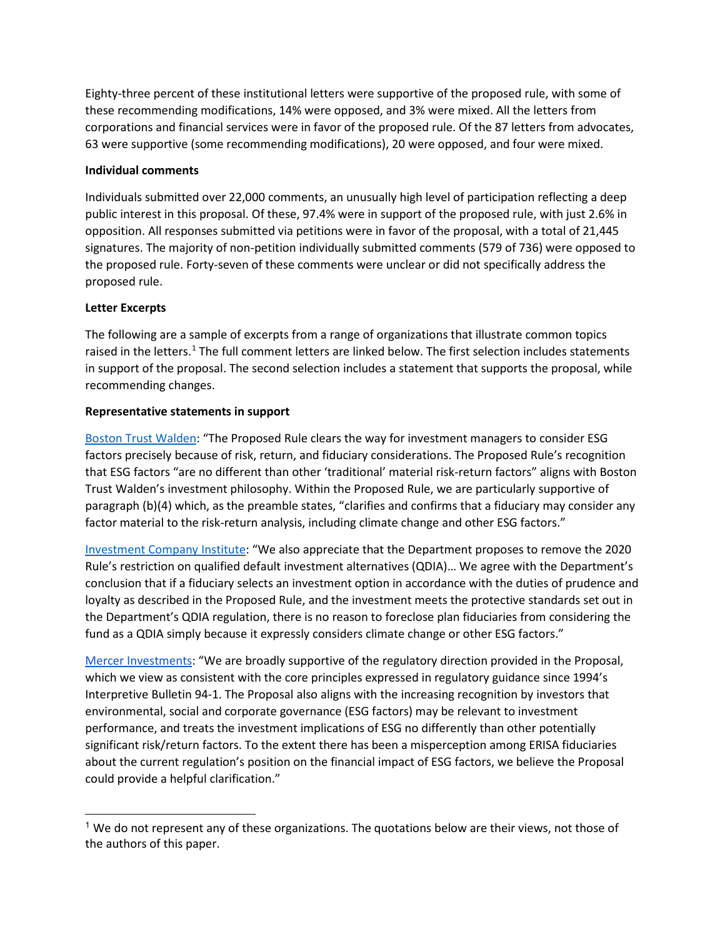Eighty-three percent of these institutional letters were supportive of the proposed rule, with some of these recommending modifications, 14% were opposed, and 3% were mixed. All the letters from corporations and financial services were in favor of the proposed rule. Of the 87 letters from advocates, 63 were supportive (some recommending modifications), 20 were opposed, and four were mixed.

## **Individual comments**

Individuals submitted over 22,000 comments, an unusually high level of participation reflecting a deep public interest in this proposal. Of these, 97.4% were in support of the proposed rule, with just 2.6% in opposition. All responses submitted via petitions were in favor of the proposal, with a total of 21,445 signatures. The majority of non-petition individually submitted comments (579 of 736) were opposed to the proposed rule. Forty-seven of these comments were unclear or did not specifically address the proposed rule.

# **Letter Excerpts**

The following are a sample of excerpts from a range of organizations that illustrate common topics raised in the letters.<sup>[1](#page-2-0)</sup> The full comment letters are linked below. The first selection includes statements in support of the proposal. The second selection includes a statement that supports the proposal, while recommending changes.

# **Representative statements in support**

[Boston Trust Walden:](https://www.dol.gov/sites/dolgov/files/EBSA/laws-and-regulations/rules-and-regulations/public-comments/1210-AC03/00301.pdf) "The Proposed Rule clears the way for investment managers to consider ESG factors precisely because of risk, return, and fiduciary considerations. The Proposed Rule's recognition that ESG factors "are no different than other 'traditional' material risk-return factors" aligns with Boston Trust Walden's investment philosophy. Within the Proposed Rule, we are particularly supportive of paragraph (b)(4) which, as the preamble states, "clarifies and confirms that a fiduciary may consider any factor material to the risk-return analysis, including climate change and other ESG factors."

[Investment Company Institute:](https://www.dol.gov/sites/dolgov/files/EBSA/laws-and-regulations/rules-and-regulations/public-comments/1210-AC03/00751.pdf) "We also appreciate that the Department proposes to remove the 2020 Rule's restriction on qualified default investment alternatives (QDIA)… We agree with the Department's conclusion that if a fiduciary selects an investment option in accordance with the duties of prudence and loyalty as described in the Proposed Rule, and the investment meets the protective standards set out in the Department's QDIA regulation, there is no reason to foreclose plan fiduciaries from considering the fund as a QDIA simply because it expressly considers climate change or other ESG factors."

[Mercer Investments:](https://www.dol.gov/sites/dolgov/files/EBSA/laws-and-regulations/rules-and-regulations/public-comments/1210-AC03/00782.pdf) "We are broadly supportive of the regulatory direction provided in the Proposal, which we view as consistent with the core principles expressed in regulatory guidance since 1994's Interpretive Bulletin 94-1. The Proposal also aligns with the increasing recognition by investors that environmental, social and corporate governance (ESG factors) may be relevant to investment performance, and treats the investment implications of ESG no differently than other potentially significant risk/return factors. To the extent there has been a misperception among ERISA fiduciaries about the current regulation's position on the financial impact of ESG factors, we believe the Proposal could provide a helpful clarification."

<span id="page-2-0"></span> $<sup>1</sup>$  We do not represent any of these organizations. The quotations below are their views, not those of</sup> the authors of this paper.